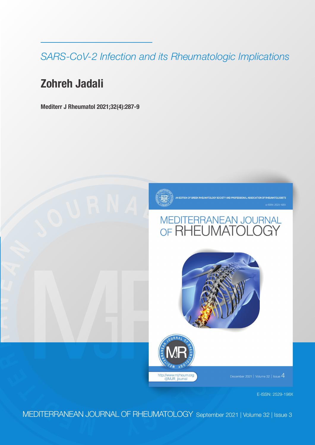*SARS-CoV-2 Infection and its Rheumatologic Implications*

# **Zohreh Jadali**

**R**

**A**

**N**

**E**

**A N**

**Mediterr J Rheumatol 2021;32(4):287-9**



**ASSOCIATION OF RHEUMATOLOGISTS** 

# $\begin{array}{l} \text{MEDITERRANEAN JOURNAL} \\ \text{OF RHEUMATOLOGY} \end{array}$





ember 2021 | Volume 32 | Issue  $4\,$ 

E-ISSN: 2529-198X

**<sup>E</sup> <sup>M</sup> <sup>D</sup> <sup>I</sup> <sup>T</sup> <sup>E</sup> <sup>R</sup>** MEDITERRANEAN JOURNAL OF RHEUMATOLOGY September 2021 | Volume 32 | Issue 3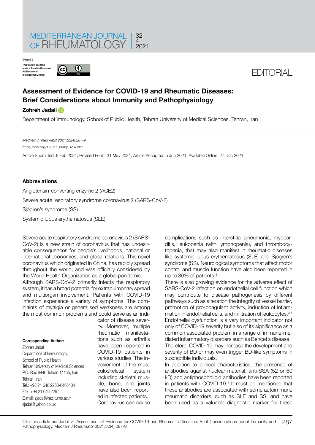

**This work is licensed under a Creative Commons Attribution 4.0 International License. ©Jadali Z.**



## EDITORIAL

### **Assessment of Evidence for COVID-19 and Rheumatic Diseases: Brief Considerations about Immunity and Pathophysiology**

#### **Zohreh Jadali**

Department of Immunology, School of Public Health, Tehran University of Medical Sciences. Tehran, Iran

*Mediterr J Rheumatol 2021;32(4):287-9*

https://doi.org/10.31138/mjr.32.4.287

Article Submitted: 6 Feb 2021; Revised Form: 31 May 2021; Article Accepted: 5 Jun 2021; Available Online: 27 Dec 2021

#### **Abbrev**i**ations**

Angiotensin-converting enzyme 2 (ACE2)

Severe acute respiratory syndrome coronavirus 2 (SARS-CoV-2)

Sjögren's syndrome (SS)

Systemic lupus erythematosus (SLE)

Severe acute respiratory syndrome coronavirus 2 (SARS-CoV-2) is a new strain of coronavirus that has undesirable consequences for people's livelihoods, national or international economies, and global relations. This novel coronavirus which originated in China, has rapidly spread throughout the world, and was officially considered by the World Health Organization as a global pandemic.

Although SARS-CoV-2 primarily infects the respiratory system, it has a broad potential for extrapulmonary spread and multiorgan involvement. Patients with COVID-19 infection experience a variety of symptoms. The complaints of myalgia or generalised weakness are among the most common problems and could serve as an indi-

**Corresponding Author:**  Zohreh Jadali Department of Immunology, School of Public Health Tehran University of Medical Sciences P.O. Box 6446 Tehran 14155, Iran Tehran, Iran Tel.: +98 21 646 2268-6465404 Fax: +98 21 646 2267 E-mail: [zjadali@razi.tums.ac.ir](mailto:zjadali@razi.tums.ac.ir), [zjadali@yahoo.co.uk](mailto:zjadali@yahoo.co.uk)

cator of disease severity. Moreover, multiple rheumatic manifestations such as arthritis have been reported in COVID-19 patients in various studies. The involvement of the musculoskeletal system including skeletal muscle, bone, and joints have also been reported in infected patients.<sup>1</sup> Coronavirus can cause complications such as interstitial pneumonia, myocarditis, leukopenia (with lymphopenia), and thrombocytopenia, that may also manifest in rheumatic diseases like systemic lupus erythematosus (SLE) and Sjögren's syndrome (SS). Neurological symptoms that affect motor control and muscle function have also been reported in up to 36% of patients.<sup>2</sup>

There is also growing evidence for the adverse effect of SARS-CoV-2 infection on endothelial cell function which may contribute to disease pathogenesis by different pathways such as alteration the integrity of vessel barrier, promotion of pro-coagulant activity, induction of inflammation in endothelial cells, and infiltration of leukocytes.3,4 Endothelial dysfunction is a very important indicator not only of COVID-19 severity but also of its significance as a common associated problem in a range of immune-mediated inflammatory disorders such as Behçet's disease.<sup>5</sup> Therefore, COVID-19 may increase the development and severity of BD or may even trigger BD-like symptoms in susceptible individuals.

In addition to clinical characteristics, the presence of antibodies against nuclear material, anti-SSA (52 or 60 kD) and antiphospholipid antibodies have been reported in patients with COVID-19.<sup>1</sup> It must be mentioned that these antibodies are associated with some autoimmune rheumatic disorders, such as SLE and SS, and have been used as a valuable diagnostic marker for these

287 Cite this article as: Jadali Z. Assessment of Evidence for COVID-19 and Rheumatic Diseases: Brief Considerations about Immunity and Pathophysiology. Mediterr J Rheumatol 2021;32(4):287-9.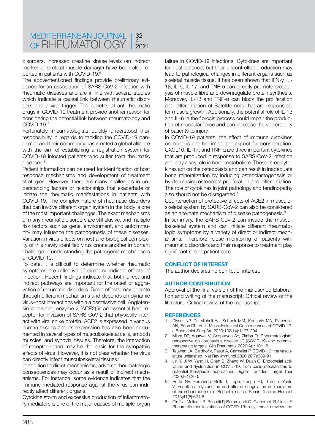disorders. Increased creatine kinase levels (an indirect marker of skeletal-muscle damage) have been also reported in patients with COVID-19.6

The abovementioned findings provide preliminary evidence for an association of SARS-CoV-2 infection with rheumatic diseases and are in line with several studies which indicate a causal link between rheumatic disorders and a viral trigger. The benefits of anti-rheumatic drugs in COVID-19 treatment provide another reason for considering the potential link between rheumatology and COVID-19.7

Fortunately, rheumatologists quickly understood their responsibility in regards to tackling the COVID-19 pandemic, and their community has created a global alliance with the aim of establishing a registration system for COVID-19 infected patients who suffer from rheumatic diseases.<sup>8</sup>

Patient information can be used for identification of host response mechanisms and development of treatment strategies. However, there are many challenges in understanding factors or relationships that exacerbate or initiate the rheumatic manifestations in patients with COVID-19. The complex nature of rheumatic disorders that can involve different organ system in the body is one of the most important challenges. The exact mechanisms of many rheumatic disorders are still elusive, and multiple risk factors such as gene, environment, and autoimmunity may influence the pathogenesis of these diseases. Variation in virus effects on host and biological complexity of this newly identified virus create another important challenge in understanding the pathogenic mechanisms of COVID-19.

To date, it is difficult to determine whether rheumatic symptoms are reflective of direct or indirect effects of infection. Recent findings indicate that both direct and indirect pathways are important for the onset or aggravation of rheumatic disorders. Direct effects may operate through different mechanisms and depends on dynamic virus–host interactions within a permissive cell. Angiotensin-converting enzyme 2 (ACE2) is an essential host receptor for invasion of SARS-CoV-2 that physically interact with viral spike protein. ACE2 is expressed in various human tissues and its expression has also been documented in several types of musculoskeletal cells, smooth muscles, and synovial tissues. Therefore, the interaction of receptor-ligand may be the basis for the cytopathic effects of virus. However, it is not clear whether the virus can directly infect musculoskeletal tissues.<sup>6</sup>

In addition to direct mechanisms, adverse rheumatologic consequences may occur as a result of indirect mechanisms. For instance, some evidence indicates that the immune-mediated response against the virus can indirectly affect different organs.

Cytokine storm and excessive production of inflammatory mediators is one of the major causes of multiple-organ failure in COVID*-*19 infections. Cytokines are important for host defence, but their uncontrolled production may lead to pathological changes in different organs such as skeletal muscle tissue. It has been shown that IFN-y, IL-1β, IL-6, IL-17, and TNF-α can directly promote proteolysis of muscle fibre and downregulate protein synthesis. Moreover, IL-1β and TNF-α can block the proliferation and differentiation of Satellite cells that are responsible for muscle growth. Additionally, the potential role of IL-1β and IL-6 in the fibrosis process could impair the production of muscular force and can increase the vulnerability of patients to injury.

In COVID-19 patients, the effect of immune cytokines on bone is another important aspect for consideration. CXCL10, IL-17, and TNF-α are three important cytokines that are produced in response to SARS-CoV-2 infection and play a key role in bone metabolism. These three cytokines act on the osteoclasts and can result in inadequate bone mineralization by inducing osteoclastogenesis or by decreasing osteoblast proliferation and differentiation. The role of cytokines in joint pathology and tendinopathy also should not be disregarded.<sup>1</sup>

Counteraction of protective effects of ACE2 in musculoskeletal system by SARS-CoV-2 can also be considered as an alternate mechanism of disease pathogenesis.9

In summary, the SARS-CoV-2 can invade the musculoskeletal system and can initiate different rheumatologic symptoms by a variety of direct or indirect mechanisms. Therefore, close monitoring of patients with rheumatic disorders and their response to treatment play significant role in patient care.

#### **CONFLICT OF INTEREST**

The author declares no conflict of interest.

#### **AUTHOR CONTRIBUTION**

Approval of the final version of the manuscript; Elaboration and writing of the manuscript; Critical review of the literature; Critical review of the manuscript.

#### **REFERENCES**

- 1. Disser NP, De Micheli AJ, Schonk MM, Konnaris MA, Piacentini AN, Edon DL, et al. Musculoskeletal Consequences of COVID-19. J Bone Joint Surg Am 2020;102(14):1197-204.
- 2. Misra DP, Agarwal V, Gasparyan AY, Zimba O. Rheumatologists' perspective on coronavirus disease 19 (COVID-19) and potential therapeutic targets. Clin Rheumatol 2020;Apr 10:1-8.
- 3. Teuwen LA, Geldhof V, Pasut A, Carmeliet P. COVID-19: the vasculature unleashed. Nat Rev Immunol 2020;20(7):389-91.
- 4. Jin Y, Ji W, Yang H, Chen S, Zhang W, Duan G. Endothelial activation and dysfunction in COVID-19: from basic mechanisms to potential therapeutic approaches. Signal Transduct Target Ther 2020;5(1):293.
- 5. Butta NV, Fernández-Bello I, López-Longo FJ, Jiménez-Yuste V. Endothelial dysfunction and altered coagulation as mediators of thromboembolism in Behçet disease. Semin Thromb Hemost 2015;41(6):621-8.
- 6. Ciaffi J, Meliconi R, Ruscitti P, Berardicurti O, Giacomelli R, Ursini F. Rheumatic manifestations of COVID-19: a systematic review and